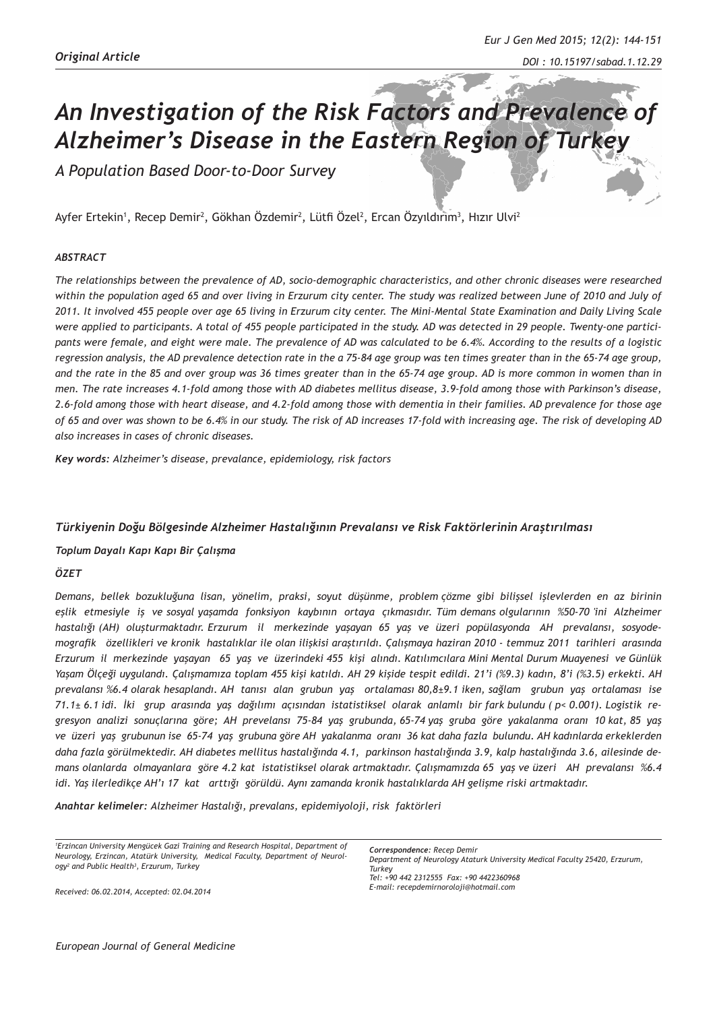# *An Investigation of the Risk Factors and Prevalence of Alzheimer's Disease in the Eastern Region of Turkey*

*A Population Based Door-to-Door Survey*

Ayfer Ertekin', Recep Demir<sup>2</sup>, Gökhan Özdemir<sup>2</sup>, Lütfi Özel<sup>2</sup>, Ercan Özyıldırım<sup>3</sup>, Hızır Ulvi<sup>2</sup>

#### *ABSTRACT*

*The relationships between the prevalence of AD, socio-demographic characteristics, and other chronic diseases were researched within the population aged 65 and over living in Erzurum city center. The study was realized between June of 2010 and July of 2011. It involved 455 people over age 65 living in Erzurum city center. The Mini-Mental State Examination and Daily Living Scale were applied to participants. A total of 455 people participated in the study. AD was detected in 29 people. Twenty-one participants were female, and eight were male. The prevalence of AD was calculated to be 6.4%. According to the results of a logistic regression analysis, the AD prevalence detection rate in the a 75-84 age group was ten times greater than in the 65-74 age group, and the rate in the 85 and over group was 36 times greater than in the 65-74 age group. AD is more common in women than in men. The rate increases 4.1-fold among those with AD diabetes mellitus disease, 3.9-fold among those with Parkinson's disease, 2.6-fold among those with heart disease, and 4.2-fold among those with dementia in their families. AD prevalence for those age of 65 and over was shown to be 6.4% in our study. The risk of AD increases 17-fold with increasing age. The risk of developing AD also increases in cases of chronic diseases.* 

*Key words: Alzheimer's disease, prevalance, epidemiology, risk factors* 

#### *Türkiyenin Doğu Bölgesinde Alzheimer Hastalığının Prevalansı ve Risk Faktörlerinin Araştırılması*

#### *Toplum Dayalı Kapı Kapı Bir Çalışma*

# *ÖZET*

*Demans, bellek bozukluğuna lisan, yönelim, praksi, soyut düşünme, problem çözme gibi bilişsel işlevlerden en az birinin eşlik etmesiyle iş ve sosyal yaşamda fonksiyon kaybının ortaya çıkmasıdır. Tüm demans olgularının %50-70 'ini Alzheimer hastalığı (AH) oluşturmaktadır. Erzurum il merkezinde yaşayan 65 yaş ve üzeri popülasyonda AH prevalansı, sosyodemografik özellikleri ve kronik hastalıklar ile olan ilişkisi araştırıldı. Çalışmaya haziran 2010 - temmuz 2011 tarihleri arasında Erzurum il merkezinde yaşayan 65 yaş ve üzerindeki 455 kişi alındı. Katılımcılara Mini Mental Durum Muayenesi ve Günlük Yaşam Ölçeği uygulandı. Çalışmamıza toplam 455 kişi katıldı. AH 29 kişide tespit edildi. 21'i (%9.3) kadın, 8'i (%3.5) erkekti. AH prevalansı %6.4 olarak hesaplandı. AH tanısı alan grubun yaş ortalaması 80,8±9.1 iken, sağlam grubun yaş ortalaması ise 71.1± 6.1 idi. İki grup arasında yaş dağılımı açısından istatistiksel olarak anlamlı bir fark bulundu ( p< 0.001). Logistik regresyon analizi sonuçlarına göre; AH prevelansı 75-84 yaş grubunda, 65-74 yaş gruba göre yakalanma oranı 10 kat, 85 yaş ve üzeri yaş grubunun ise 65-74 yaş grubuna göre AH yakalanma oranı 36 kat daha fazla bulundu. AH kadınlarda erkeklerden daha fazla görülmektedir. AH diabetes mellitus hastalığında 4.1, parkinson hastalığında 3.9, kalp hastalığında 3.6, ailesinde demans olanlarda olmayanlara göre 4.2 kat istatistiksel olarak artmaktadır. Çalışmamızda 65 yaş ve üzeri AH prevalansı %6.4 idi. Yaş ilerledikçe AH'ı 17 kat arttığı görüldü. Aynı zamanda kronik hastalıklarda AH gelişme riski artmaktadır.*

*Anahtar kelimeler: Alzheimer Hastalığı, prevalans, epidemiyoloji, risk faktörleri*

*1 Erzincan University Mengücek Gazi Training and Research Hospital, Department of Neurology, Erzincan, Atatürk University, Medical Faculty, Department of Neurology2 and Public Health3 , Erzurum, Turkey*

*Correspondence: Recep Demir Department of Neurology Ataturk University Medical Faculty 25420, Erzurum, Turkey Tel: +90 442 2312555 Fax: +90 4422360968 E-mail: recepdemirnoroloji@hotmail.com*

*Received: 06.02.2014, Accepted: 02.04.2014*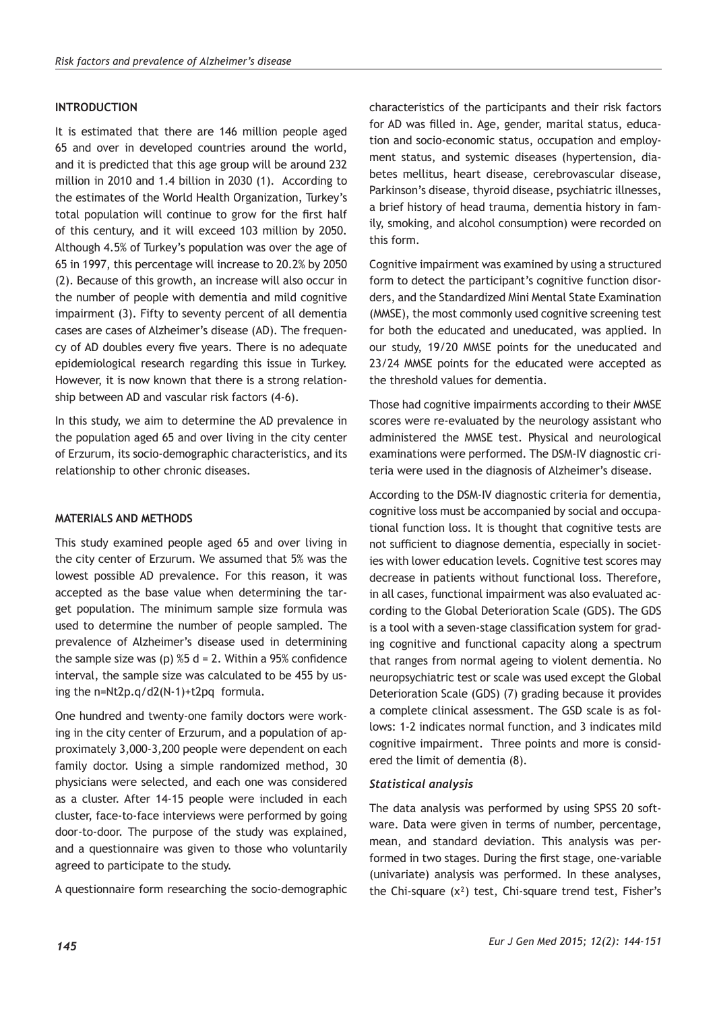# **INTRODUCTION**

It is estimated that there are 146 million people aged 65 and over in developed countries around the world, and it is predicted that this age group will be around 232 million in 2010 and 1.4 billion in 2030 (1). According to the estimates of the World Health Organization, Turkey's total population will continue to grow for the first half of this century, and it will exceed 103 million by 2050. Although 4.5% of Turkey's population was over the age of 65 in 1997, this percentage will increase to 20.2% by 2050 (2). Because of this growth, an increase will also occur in the number of people with dementia and mild cognitive impairment (3). Fifty to seventy percent of all dementia cases are cases of Alzheimer's disease (AD). The frequency of AD doubles every five years. There is no adequate epidemiological research regarding this issue in Turkey. However, it is now known that there is a strong relationship between AD and vascular risk factors (4-6).

In this study, we aim to determine the AD prevalence in the population aged 65 and over living in the city center of Erzurum, its socio-demographic characteristics, and its relationship to other chronic diseases.

# **MATERIALS AND METHODS**

This study examined people aged 65 and over living in the city center of Erzurum. We assumed that 5% was the lowest possible AD prevalence. For this reason, it was accepted as the base value when determining the target population. The minimum sample size formula was used to determine the number of people sampled. The prevalence of Alzheimer's disease used in determining the sample size was (p)  $%5$  d = 2. Within a 95% confidence interval, the sample size was calculated to be 455 by using the n=Nt2p.q/d2(N-1)+t2pq formula.

One hundred and twenty-one family doctors were working in the city center of Erzurum, and a population of approximately 3,000-3,200 people were dependent on each family doctor. Using a simple randomized method, 30 physicians were selected, and each one was considered as a cluster. After 14-15 people were included in each cluster, face-to-face interviews were performed by going door-to-door. The purpose of the study was explained, and a questionnaire was given to those who voluntarily agreed to participate to the study.

A questionnaire form researching the socio-demographic

characteristics of the participants and their risk factors for AD was filled in. Age, gender, marital status, education and socio-economic status, occupation and employment status, and systemic diseases (hypertension, diabetes mellitus, heart disease, cerebrovascular disease, Parkinson's disease, thyroid disease, psychiatric illnesses, a brief history of head trauma, dementia history in family, smoking, and alcohol consumption) were recorded on this form.

Cognitive impairment was examined by using a structured form to detect the participant's cognitive function disorders, and the Standardized Mini Mental State Examination (MMSE), the most commonly used cognitive screening test for both the educated and uneducated, was applied. In our study, 19/20 MMSE points for the uneducated and 23/24 MMSE points for the educated were accepted as the threshold values for dementia.

Those had cognitive impairments according to their MMSE scores were re-evaluated by the neurology assistant who administered the MMSE test. Physical and neurological examinations were performed. The DSM-IV diagnostic criteria were used in the diagnosis of Alzheimer's disease.

According to the DSM-IV diagnostic criteria for dementia, cognitive loss must be accompanied by social and occupational function loss. It is thought that cognitive tests are not sufficient to diagnose dementia, especially in societies with lower education levels. Cognitive test scores may decrease in patients without functional loss. Therefore, in all cases, functional impairment was also evaluated according to the Global Deterioration Scale (GDS). The GDS is a tool with a seven-stage classification system for grading cognitive and functional capacity along a spectrum that ranges from normal ageing to violent dementia. No neuropsychiatric test or scale was used except the Global Deterioration Scale (GDS) (7) grading because it provides a complete clinical assessment. The GSD scale is as follows: 1-2 indicates normal function, and 3 indicates mild cognitive impairment. Three points and more is considered the limit of dementia (8).

# *Statistical analysis*

The data analysis was performed by using SPSS 20 software. Data were given in terms of number, percentage, mean, and standard deviation. This analysis was performed in two stages. During the first stage, one-variable (univariate) analysis was performed. In these analyses, the Chi-square (x²) test, Chi-square trend test, Fisher's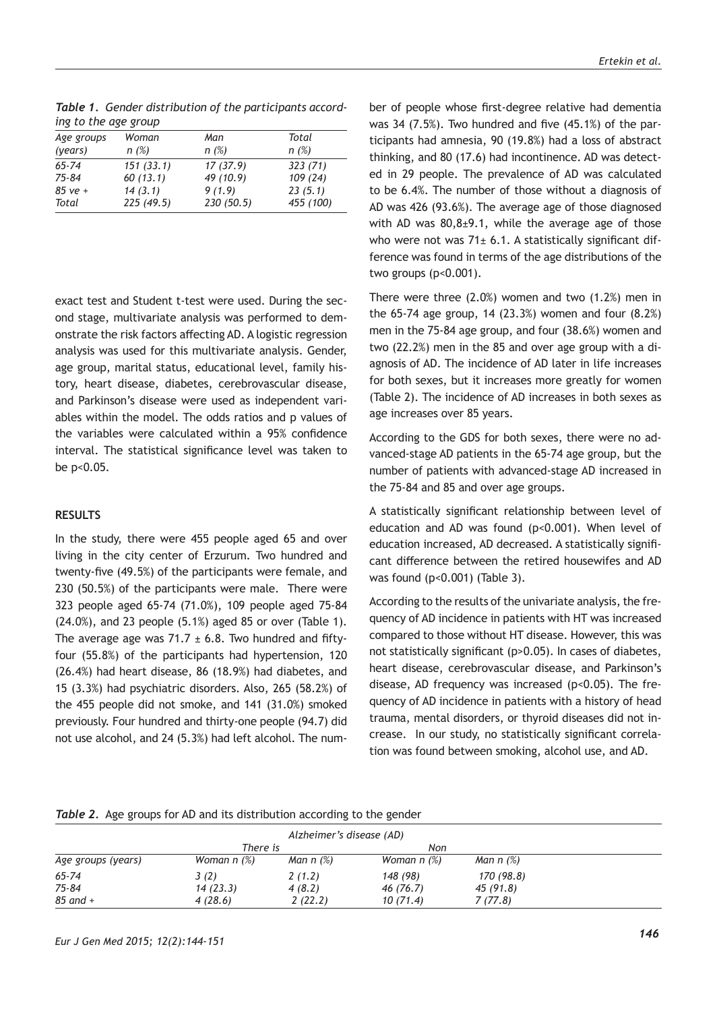| ing to the age group |           |           |           |  |  |  |
|----------------------|-----------|-----------|-----------|--|--|--|
| Age groups           | Woman     | Man       | Total     |  |  |  |
| (years)              | n(%)      | n(%)      | n(%)      |  |  |  |
| $65 - 74$            | 151(33.1) | 17(37.9)  | 323(71)   |  |  |  |
| $75 - 84$            | 60(13.1)  | 49 (10.9) | 109(24)   |  |  |  |
| $85$ ve +            | 14(3.1)   | 9(1.9)    | 23(5.1)   |  |  |  |
| Total                | 225(49.5) | 230(50.5) | 455 (100) |  |  |  |

*Table 1. Gender distribution of the participants according to the age group*

exact test and Student t-test were used. During the second stage, multivariate analysis was performed to demonstrate the risk factors affecting AD. A logistic regression analysis was used for this multivariate analysis. Gender, age group, marital status, educational level, family history, heart disease, diabetes, cerebrovascular disease, and Parkinson's disease were used as independent variables within the model. The odds ratios and p values of the variables were calculated within a 95% confidence interval. The statistical significance level was taken to be p<0.05.

#### **RESULTS**

In the study, there were 455 people aged 65 and over living in the city center of Erzurum. Two hundred and twenty-five (49.5%) of the participants were female, and 230 (50.5%) of the participants were male. There were 323 people aged 65-74 (71.0%), 109 people aged 75-84 (24.0%), and 23 people (5.1%) aged 85 or over (Table 1). The average age was 71.7  $\pm$  6.8. Two hundred and fiftyfour (55.8%) of the participants had hypertension, 120 (26.4%) had heart disease, 86 (18.9%) had diabetes, and 15 (3.3%) had psychiatric disorders. Also, 265 (58.2%) of the 455 people did not smoke, and 141 (31.0%) smoked previously. Four hundred and thirty-one people (94.7) did not use alcohol, and 24 (5.3%) had left alcohol. The number of people whose first-degree relative had dementia was 34 (7.5%). Two hundred and five (45.1%) of the participants had amnesia, 90 (19.8%) had a loss of abstract thinking, and 80 (17.6) had incontinence. AD was detected in 29 people. The prevalence of AD was calculated to be 6.4%. The number of those without a diagnosis of AD was 426 (93.6%). The average age of those diagnosed with AD was 80,8±9.1, while the average age of those who were not was  $71± 6.1$ . A statistically significant difference was found in terms of the age distributions of the two groups (p<0.001).

There were three (2.0%) women and two (1.2%) men in the 65-74 age group, 14 (23.3%) women and four (8.2%) men in the 75-84 age group, and four (38.6%) women and two (22.2%) men in the 85 and over age group with a diagnosis of AD. The incidence of AD later in life increases for both sexes, but it increases more greatly for women (Table 2). The incidence of AD increases in both sexes as age increases over 85 years.

According to the GDS for both sexes, there were no advanced-stage AD patients in the 65-74 age group, but the number of patients with advanced-stage AD increased in the 75-84 and 85 and over age groups.

A statistically significant relationship between level of education and AD was found (p<0.001). When level of education increased, AD decreased. A statistically significant difference between the retired housewifes and AD was found (p<0.001) (Table 3).

According to the results of the univariate analysis, the frequency of AD incidence in patients with HT was increased compared to those without HT disease. However, this was not statistically significant (p>0.05). In cases of diabetes, heart disease, cerebrovascular disease, and Parkinson's disease, AD frequency was increased (p<0.05). The frequency of AD incidence in patients with a history of head trauma, mental disorders, or thyroid diseases did not increase. In our study, no statistically significant correlation was found between smoking, alcohol use, and AD.

#### *Table 2.* Age groups for AD and its distribution according to the gender

| Alzheimer's disease (AD) |               |             |               |                            |  |  |
|--------------------------|---------------|-------------|---------------|----------------------------|--|--|
|                          | There is      |             | Non           |                            |  |  |
| Age groups (years)       | Woman $n$ (%) | Man $n$ (%) | Woman $n$ (%) | Man $n$ $\left(\% \right)$ |  |  |
| $65 - 74$                | 3(2)          | 2(1.2)      | 148 (98)      | 170 (98.8)                 |  |  |
| 75-84                    | 14(23.3)      | 4(8.2)      | 46 (76.7)     | 45 (91.8)                  |  |  |
| $85$ and $+$             | 4(28.6)       | 2(22.2)     | 10(71.4)      | 7(77.8)                    |  |  |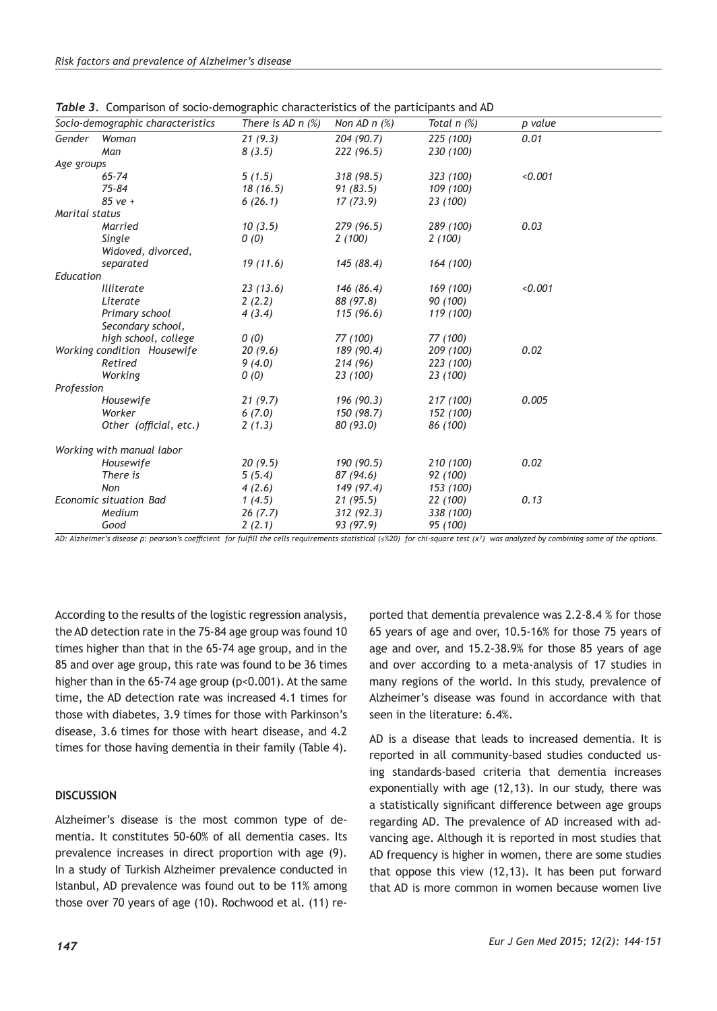| Socio-demographic characteristics | There is AD $n$ $%$ | Non AD $n$ $(\%)$ | Total $n$ $(\%)$ | p value |
|-----------------------------------|---------------------|-------------------|------------------|---------|
| Woman                             | 21(9.3)             | 204 (90.7)        | 225 (100)        | 0.01    |
| Man                               | 8(3.5)              | 222(96.5)         | 230 (100)        |         |
| Age groups                        |                     |                   |                  |         |
| $65 - 74$                         | 5(1.5)              | 318(98.5)         | 323 (100)        | < 0.001 |
| $75 - 84$                         | 18 (16.5)           | 91 (83.5)         | 109 (100)        |         |
| $85ve +$                          | 6(26.1)             | 17 (73.9)         | 23 (100)         |         |
| Marital status                    |                     |                   |                  |         |
| Married                           | 10(3.5)             | 279 (96.5)        | 289 (100)        | 0.03    |
| Single                            | 0(0)                | 2(100)            | 2(100)           |         |
| Widoved, divorced,                |                     |                   |                  |         |
| separated                         | 19(11.6)            | 145 (88.4)        | 164 (100)        |         |
| Education                         |                     |                   |                  |         |
| <b>Illiterate</b>                 | 23(13.6)            | 146 (86.4)        | 169 (100)        | < 0.001 |
| Literate                          | 2(2.2)              | 88 (97.8)         | 90 (100)         |         |
| Primary school                    | 4(3.4)              | 115 (96.6)        | 119 (100)        |         |
| Secondary school,                 |                     |                   |                  |         |
| high school, college              | 0(0)                | 77 (100)          | 77 (100)         |         |
| Working condition Housewife       | 20(9.6)             | 189 (90.4)        | 209 (100)        | 0.02    |
| Retired                           | 9(4.0)              | 214 (96)          | 223 (100)        |         |
| Working                           | 0(0)                | 23 (100)          | 23 (100)         |         |
| Profession                        |                     |                   |                  |         |
| Housewife                         | 21(9.7)             | 196 (90.3)        | 217 (100)        | 0.005   |
| Worker                            | 6(7.0)              | 150 (98.7)        | 152 (100)        |         |
| Other (official, etc.)            | 2(1.3)              | 80 (93.0)         | 86 (100)         |         |
| Working with manual labor         |                     |                   |                  |         |
| Housewife                         | 20(9.5)             | 190 (90.5)        | 210 (100)        | 0.02    |
| There is                          | 5(5.4)              | 87 (94.6)         | 92 (100)         |         |
| Non                               | 4(2.6)              | 149 (97.4)        | 153 (100)        |         |
| Economic situation Bad            | 1(4.5)              | 21(95.5)          | 22 (100)         | 0.13    |
| Medium                            | 26(7.7)             | 312(92.3)         | 338 (100)        |         |
| Good                              | 2(2.1)              | 93 (97.9)         | 95 (100)         |         |
|                                   |                     |                   |                  |         |

*Table 3.* Comparison of socio-demographic characteristics of the participants and AD

*AD: Alzheimer's disease p: pearson's coefficient for fulfill the cells requirements statistical (≤%20) for chi-square test (x²) was analyzed by combining some of the options.* 

According to the results of the logistic regression analysis, the AD detection rate in the 75-84 age group was found 10 times higher than that in the 65-74 age group, and in the 85 and over age group, this rate was found to be 36 times higher than in the 65-74 age group (p<0.001). At the same time, the AD detection rate was increased 4.1 times for those with diabetes, 3.9 times for those with Parkinson's disease, 3.6 times for those with heart disease, and 4.2 times for those having dementia in their family (Table 4).

# **DISCUSSION**

Alzheimer's disease is the most common type of dementia. It constitutes 50-60% of all dementia cases. Its prevalence increases in direct proportion with age (9). In a study of Turkish Alzheimer prevalence conducted in Istanbul, AD prevalence was found out to be 11% among those over 70 years of age (10). Rochwood et al. (11) re-

ported that dementia prevalence was 2.2-8.4 % for those 65 years of age and over, 10.5-16% for those 75 years of age and over, and 15.2-38.9% for those 85 years of age and over according to a meta-analysis of 17 studies in many regions of the world. In this study, prevalence of Alzheimer's disease was found in accordance with that seen in the literature: 6.4%.

AD is a disease that leads to increased dementia. It is reported in all community-based studies conducted using standards-based criteria that dementia increases exponentially with age (12,13). In our study, there was a statistically significant difference between age groups regarding AD. The prevalence of AD increased with advancing age. Although it is reported in most studies that AD frequency is higher in women, there are some studies that oppose this view (12,13). It has been put forward that AD is more common in women because women live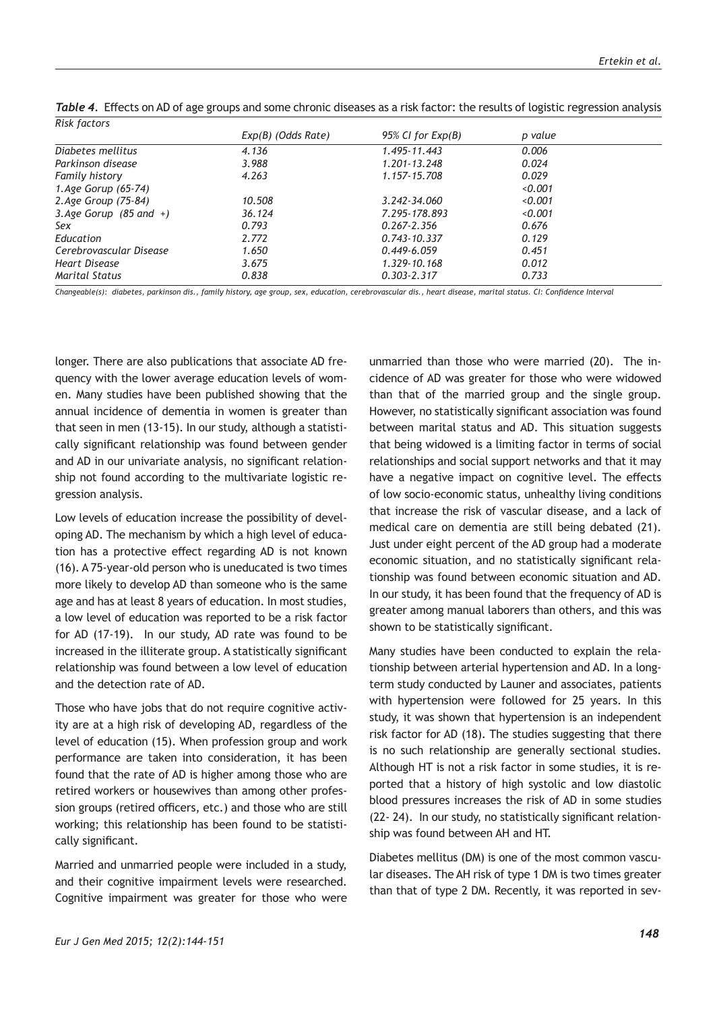| 95% CI for $Exp(B)$ | p value                                                                   |  |
|---------------------|---------------------------------------------------------------------------|--|
| 1.495-11.443        | 0.006                                                                     |  |
| 1.201-13.248        | 0.024                                                                     |  |
| 1.157-15.708        | 0.029                                                                     |  |
|                     | 0.001                                                                     |  |
| 3.242-34.060        | 0.001                                                                     |  |
| 7.295-178.893       | 0.001                                                                     |  |
|                     | 0.676                                                                     |  |
|                     | 0.129                                                                     |  |
|                     | 0.451                                                                     |  |
| 1.329-10.168        | 0.012                                                                     |  |
|                     | 0.733                                                                     |  |
|                     | $0.267 - 2.356$<br>$0.743 - 10.337$<br>$0.449 - 6.059$<br>$0.303 - 2.317$ |  |

*Risk factors Table 4.* Effects on AD of age groups and some chronic diseases as a risk factor: the results of logistic regression analysis

*Changeable(s): diabetes, parkinson dis., family history, age group, sex, education, cerebrovascular dis., heart disease, marital status. CI: Confidence Interval* 

longer. There are also publications that associate AD frequency with the lower average education levels of women. Many studies have been published showing that the annual incidence of dementia in women is greater than that seen in men (13-15). In our study, although a statistically significant relationship was found between gender and AD in our univariate analysis, no significant relationship not found according to the multivariate logistic regression analysis.

Low levels of education increase the possibility of developing AD. The mechanism by which a high level of education has a protective effect regarding AD is not known (16). A 75-year-old person who is uneducated is two times more likely to develop AD than someone who is the same age and has at least 8 years of education. In most studies, a low level of education was reported to be a risk factor for AD (17-19). In our study, AD rate was found to be increased in the illiterate group. A statistically significant relationship was found between a low level of education and the detection rate of AD.

Those who have jobs that do not require cognitive activity are at a high risk of developing AD, regardless of the level of education (15). When profession group and work performance are taken into consideration, it has been found that the rate of AD is higher among those who are retired workers or housewives than among other profession groups (retired officers, etc.) and those who are still working; this relationship has been found to be statistically significant.

Married and unmarried people were included in a study, and their cognitive impairment levels were researched. Cognitive impairment was greater for those who were unmarried than those who were married (20). The incidence of AD was greater for those who were widowed than that of the married group and the single group. However, no statistically significant association was found between marital status and AD. This situation suggests that being widowed is a limiting factor in terms of social relationships and social support networks and that it may have a negative impact on cognitive level. The effects of low socio-economic status, unhealthy living conditions that increase the risk of vascular disease, and a lack of medical care on dementia are still being debated (21). Just under eight percent of the AD group had a moderate economic situation, and no statistically significant relationship was found between economic situation and AD. In our study, it has been found that the frequency of AD is greater among manual laborers than others, and this was shown to be statistically significant.

Many studies have been conducted to explain the relationship between arterial hypertension and AD. In a longterm study conducted by Launer and associates, patients with hypertension were followed for 25 years. In this study, it was shown that hypertension is an independent risk factor for AD (18). The studies suggesting that there is no such relationship are generally sectional studies. Although HT is not a risk factor in some studies, it is reported that a history of high systolic and low diastolic blood pressures increases the risk of AD in some studies (22- 24). In our study, no statistically significant relationship was found between AH and HT.

Diabetes mellitus (DM) is one of the most common vascular diseases. The AH risk of type 1 DM is two times greater than that of type 2 DM. Recently, it was reported in sev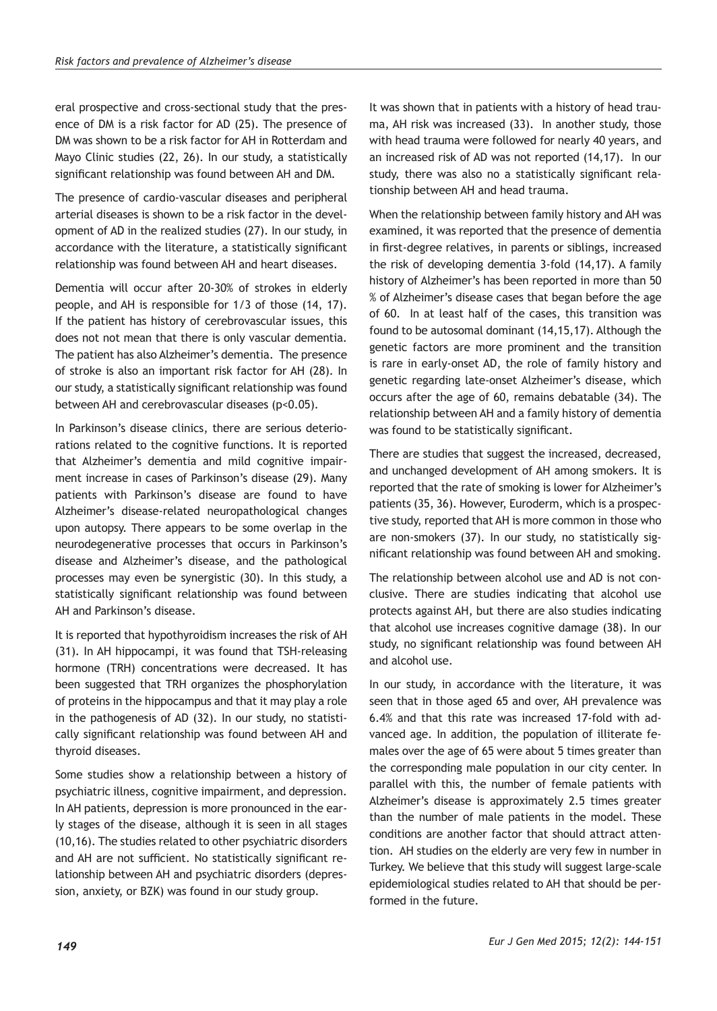eral prospective and cross-sectional study that the presence of DM is a risk factor for AD (25). The presence of DM was shown to be a risk factor for AH in Rotterdam and Mayo Clinic studies (22, 26). In our study, a statistically significant relationship was found between AH and DM.

The presence of cardio-vascular diseases and peripheral arterial diseases is shown to be a risk factor in the development of AD in the realized studies (27). In our study, in accordance with the literature, a statistically significant relationship was found between AH and heart diseases.

Dementia will occur after 20-30% of strokes in elderly people, and AH is responsible for 1/3 of those (14, 17). If the patient has history of cerebrovascular issues, this does not not mean that there is only vascular dementia. The patient has also Alzheimer's dementia. The presence of stroke is also an important risk factor for AH (28). In our study, a statistically significant relationship was found between AH and cerebrovascular diseases (p<0.05).

In Parkinson's disease clinics, there are serious deteriorations related to the cognitive functions. It is reported that Alzheimer's dementia and mild cognitive impairment increase in cases of Parkinson's disease (29). Many patients with Parkinson's disease are found to have Alzheimer's disease-related neuropathological changes upon autopsy. There appears to be some overlap in the neurodegenerative processes that occurs in Parkinson's disease and Alzheimer's disease, and the pathological processes may even be synergistic (30). In this study, a statistically significant relationship was found between AH and Parkinson's disease.

It is reported that hypothyroidism increases the risk of AH (31). In AH hippocampi, it was found that TSH-releasing hormone (TRH) concentrations were decreased. It has been suggested that TRH organizes the phosphorylation of proteins in the hippocampus and that it may play a role in the pathogenesis of AD (32). In our study, no statistically significant relationship was found between AH and thyroid diseases.

Some studies show a relationship between a history of psychiatric illness, cognitive impairment, and depression. In AH patients, depression is more pronounced in the early stages of the disease, although it is seen in all stages (10,16). The studies related to other psychiatric disorders and AH are not sufficient. No statistically significant relationship between AH and psychiatric disorders (depression, anxiety, or BZK) was found in our study group.

It was shown that in patients with a history of head trauma, AH risk was increased (33). In another study, those with head trauma were followed for nearly 40 years, and an increased risk of AD was not reported (14,17). In our study, there was also no a statistically significant relationship between AH and head trauma.

When the relationship between family history and AH was examined, it was reported that the presence of dementia in first-degree relatives, in parents or siblings, increased the risk of developing dementia 3-fold (14,17). A family history of Alzheimer's has been reported in more than 50 % of Alzheimer's disease cases that began before the age of 60. In at least half of the cases, this transition was found to be autosomal dominant (14,15,17). Although the genetic factors are more prominent and the transition is rare in early-onset AD, the role of family history and genetic regarding late-onset Alzheimer's disease, which occurs after the age of 60, remains debatable (34). The relationship between AH and a family history of dementia was found to be statistically significant.

There are studies that suggest the increased, decreased, and unchanged development of AH among smokers. It is reported that the rate of smoking is lower for Alzheimer's patients (35, 36). However, Euroderm, which is a prospective study, reported that AH is more common in those who are non-smokers (37). In our study, no statistically significant relationship was found between AH and smoking.

The relationship between alcohol use and AD is not conclusive. There are studies indicating that alcohol use protects against AH, but there are also studies indicating that alcohol use increases cognitive damage (38). In our study, no significant relationship was found between AH and alcohol use.

In our study, in accordance with the literature, it was seen that in those aged 65 and over, AH prevalence was 6.4% and that this rate was increased 17-fold with advanced age. In addition, the population of illiterate females over the age of 65 were about 5 times greater than the corresponding male population in our city center. In parallel with this, the number of female patients with Alzheimer's disease is approximately 2.5 times greater than the number of male patients in the model. These conditions are another factor that should attract attention. AH studies on the elderly are very few in number in Turkey. We believe that this study will suggest large-scale epidemiological studies related to AH that should be performed in the future.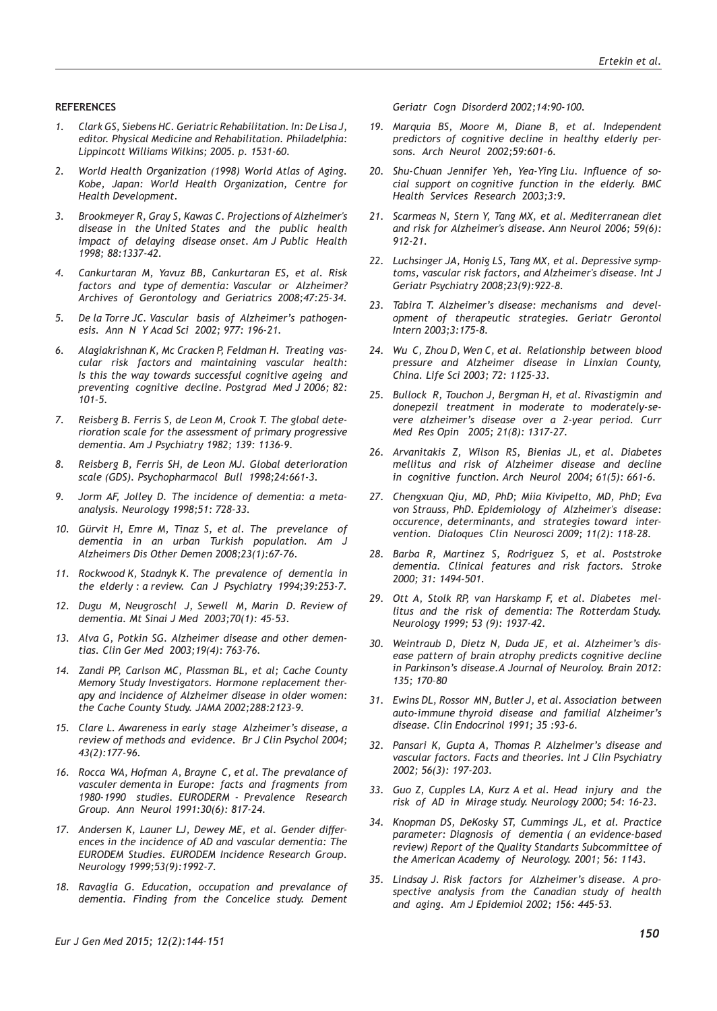#### **REFERENCES**

- *1. Clark GS, Siebens HC. Geriatric Rehabilitation. In: De Lisa J, editor. Physical Medicine and Rehabilitation. Philadelphia: Lippincott Williams Wilkins; 2005. p. 1531-60.*
- *2. World Health Organization (1998) World Atlas of Aging. Kobe, Japan: World Health Organization, Centre for Health Development.*
- *3. Brookmeyer R, Gray S, Kawas C. Projections of Alzheimer's disease in the United States and the public health impact of delaying disease onset. Am J Public Health 1998; 88:1337-42.*
- *4. Cankurtaran M, Yavuz BB, Cankurtaran ES, et al. Risk factors and type of dementia: Vascular or Alzheimer? Archives of Gerontology and Geriatrics 2008;47:25-34.*
- *5. De la Torre JC. Vascular basis of Alzheimer's pathogenesis. Ann N Y Acad Sci 2002; 977: 196-21.*
- *6. Alagiakrishnan K, Mc Cracken P, Feldman H. Treating vascular risk factors and maintaining vascular health: Is this the way towards successful cognitive ageing and preventing cognitive decline. Postgrad Med J 2006; 82: 101-5.*
- *7. Reisberg B. Ferris S, de Leon M, Crook T. The global deterioration scale for the assessment of primary progressive dementia. Am J Psychiatry 1982; 139: 1136-9.*
- *8. Reisberg B, Ferris SH, de Leon MJ. Global deterioration scale (GDS). Psychopharmacol Bull 1998;24:661-3.*
- *9. Jorm AF, Jolley D. The incidence of dementia: a metaanalysis. Neurology 1998;51: 728-33.*
- *10. Gürvit H, Emre M, Tinaz S, et al. The prevelance of dementia in an urban Turkish population. Am J Alzheimers Dis Other Demen 2008;23(1):67-76.*
- *11. Rockwood K, Stadnyk K. The prevalence of dementia in the elderly : a review. Can J Psychiatry 1994;39:253-7.*
- *12. Dugu M, Neugroschl J, Sewell M, Marin D. Review of dementia. Mt Sinai J Med 2003;70(1): 45-53.*
- *13. Alva G, Potkin SG. Alzheimer disease and other dementias. Clin Ger Med 2003;19(4): 763-76.*
- *14. Zandi PP, Carlson MC, Plassman BL, et al; Cache County Memory Study Investigators. Hormone replacement therapy and incidence of Alzheimer disease in older women: the Cache County Study. JAMA 2002;288:2123-9.*
- *15. Clare L. Awareness in early stage Alzheimer's disease, a review of methods and evidence. Br J Clin Psychol 2004; 43(2):177-96.*
- *16. Rocca WA, Hofman A, Brayne C, et al. The prevalance of vasculer dementa in Europe: facts and fragments from 1980-1990 studies. EURODERM - Prevalence Research Group. Ann Neurol 1991:30(6): 817-24.*
- *17. Andersen K, Launer LJ, Dewey ME, et al. Gender differences in the incidence of AD and vascular dementia: The EURODEM Studies. EURODEM Incidence Research Group. Neurology 1999;53(9):1992-7.*
- *18. Ravaglia G. Education, occupation and prevalance of dementia. Finding from the Concelice study. Dement*

*Geriatr Cogn Disorderd 2002;14:90-100.* 

- *19. Marquia BS, Moore M, Diane B, et al. Independent predictors of cognitive decline in healthy elderly persons. Arch Neurol 2002;59:601-6.*
- *20. Shu-Chuan Jennifer Yeh, Yea-Ying Liu. Influence of social support on cognitive function in the elderly. BMC Health Services Research 2003;3:9.*
- *21. Scarmeas N, Stern Y, Tang MX, et al. Mediterranean diet and risk for Alzheimer's disease. Ann Neurol 2006; 59(6): 912-21.*
- *22. Luchsinger JA, Honig LS, Tang MX, et al. Depressive symptoms, vascular risk factors, and Alzheimer's disease. Int J Geriatr Psychiatry 2008;23(9):922-8.*
- *23. Tabira T. Alzheimer's disease: mechanisms and development of therapeutic strategies. Geriatr Gerontol Intern 2003;3:175-8.*
- *24. Wu C, Zhou D, Wen C, et al. Relationship between blood pressure and Alzheimer disease in Linxian County, China. Life Sci 2003; 72: 1125-33.*
- *25. Bullock R, Touchon J, Bergman H, et al. Rivastigmin and donepezil treatment in moderate to moderately-severe alzheimer's disease over a 2-year period. Curr Med Res Opin 2005; 21(8): 1317-27.*
- *26. Arvanitakis Z, Wilson RS, Bienias JL, et al. Diabetes mellitus and risk of Alzheimer disease and decline in cognitive function. Arch Neurol 2004; 61(5): 661-6.*
- *27. Chengxuan Qiu, MD, PhD; Miia Kivipelto, MD, PhD; Eva von Strauss, PhD. Epidemiology of Alzheimer's disease: occurence, determinants, and strategies toward intervention. Dialoques Clin Neurosci 2009; 11(2): 118-28.*
- *28. Barba R, Martinez S, Rodriguez S, et al. Poststroke dementia. Clinical features and risk factors. Stroke 2000; 31: 1494-501.*
- *29. Ott A, Stolk RP, van Harskamp F, et al. Diabetes mellitus and the risk of dementia: The Rotterdam Study. Neurology 1999; 53 (9): 1937-42.*
- *30. Weintraub D, Dietz N, Duda JE, et al. Alzheimer's disease pattern of brain atrophy predicts cognitive decline in Parkinson's disease.A Journal of Neuroloy. Brain 2012: 135; 170–80*
- *31. Ewins DL, Rossor MN, Butler J, et al. Association between auto-immune thyroid disease and familial Alzheimer's disease. Clin Endocrinol 1991; 35 :93-6.*
- *32. Pansari K, Gupta A, Thomas P. Alzheimer's disease and vascular factors. Facts and theories. Int J Clin Psychiatry 2002; 56(3): 197-203.*
- *33. Guo Z, Cupples LA, Kurz A et al. Head injury and the risk of AD in Mirage study. Neurology 2000; 54: 16-23.*
- *34. Knopman DS, DeKosky ST, Cummings JL, et al. Practice parameter: Diagnosis of dementia ( an evidence-based review) Report of the Quality Standarts Subcommittee of the American Academy of Neurology. 2001; 56: 1143.*
- *35. Lindsay J. Risk factors for Alzheimer's disease. A prospective analysis from the Canadian study of health and aging. Am J Epidemiol 2002; 156: 445-53.*